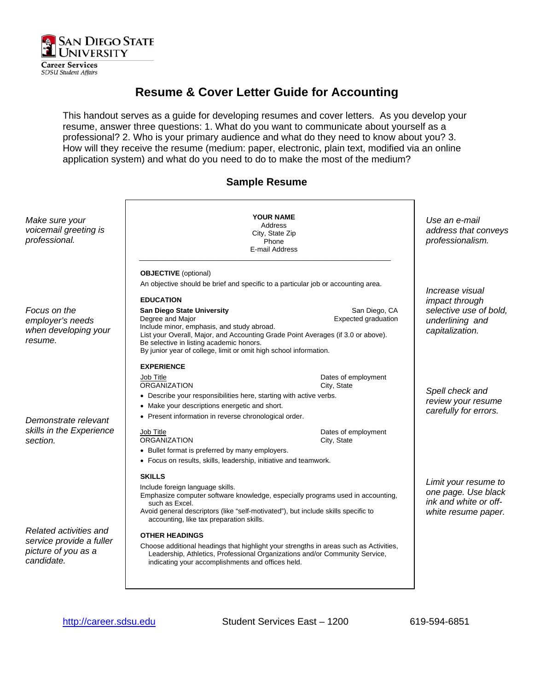

**Career Services SDSU Student Affairs** 

# **Resume & Cover Letter Guide for Accounting**

This handout serves as a guide for developing resumes and cover letters. As you develop your resume, answer three questions: 1. What do you want to communicate about yourself as a professional? 2. Who is your primary audience and what do they need to know about you? 3. How will they receive the resume (medium: paper, electronic, plain text, modified via an online application system) and what do you need to do to make the most of the medium?

### **Sample Resume**

| Make sure your<br>voicemail greeting is<br>professional.                                | <b>YOUR NAME</b><br>Address<br>City, State Zip<br>Phone<br>E-mail Address                                                                                                                                                                                                              |                                    | Use an e-mail<br>address that conveys<br>professionalism.                                   |  |
|-----------------------------------------------------------------------------------------|----------------------------------------------------------------------------------------------------------------------------------------------------------------------------------------------------------------------------------------------------------------------------------------|------------------------------------|---------------------------------------------------------------------------------------------|--|
|                                                                                         | <b>OBJECTIVE</b> (optional)                                                                                                                                                                                                                                                            |                                    |                                                                                             |  |
|                                                                                         | An objective should be brief and specific to a particular job or accounting area.                                                                                                                                                                                                      |                                    |                                                                                             |  |
|                                                                                         |                                                                                                                                                                                                                                                                                        |                                    | Increase visual                                                                             |  |
| Focus on the                                                                            | <b>EDUCATION</b><br><b>San Diego State University</b>                                                                                                                                                                                                                                  | San Diego, CA                      | impact through<br>selective use of bold,                                                    |  |
| employer's needs<br>when developing your<br>resume.                                     | Degree and Major<br>Include minor, emphasis, and study abroad.<br>List your Overall, Major, and Accounting Grade Point Averages (if 3.0 or above).<br>Be selective in listing academic honors.<br>By junior year of college, limit or omit high school information.                    | Expected graduation                | underlining and<br>capitalization.                                                          |  |
|                                                                                         | <b>EXPERIENCE</b>                                                                                                                                                                                                                                                                      |                                    |                                                                                             |  |
| Demonstrate relevant<br>skills in the Experience<br>section.                            | Job Title<br><b>ORGANIZATION</b>                                                                                                                                                                                                                                                       | Dates of employment<br>City, State |                                                                                             |  |
|                                                                                         | • Describe your responsibilities here, starting with active verbs.                                                                                                                                                                                                                     |                                    | Spell check and<br>review your resume<br>carefully for errors.                              |  |
|                                                                                         | • Make your descriptions energetic and short.                                                                                                                                                                                                                                          |                                    |                                                                                             |  |
|                                                                                         | • Present information in reverse chronological order.                                                                                                                                                                                                                                  |                                    |                                                                                             |  |
|                                                                                         | Job Title<br><b>ORGANIZATION</b>                                                                                                                                                                                                                                                       | Dates of employment<br>City, State |                                                                                             |  |
|                                                                                         | • Bullet format is preferred by many employers.                                                                                                                                                                                                                                        |                                    |                                                                                             |  |
|                                                                                         | • Focus on results, skills, leadership, initiative and teamwork.                                                                                                                                                                                                                       |                                    |                                                                                             |  |
|                                                                                         | <b>SKILLS</b><br>Include foreign language skills.<br>Emphasize computer software knowledge, especially programs used in accounting,<br>such as Excel.<br>Avoid general descriptors (like "self-motivated"), but include skills specific to<br>accounting, like tax preparation skills. |                                    | Limit your resume to<br>one page. Use black<br>ink and white or off-<br>white resume paper. |  |
| Related activities and<br>service provide a fuller<br>picture of you as a<br>candidate. |                                                                                                                                                                                                                                                                                        |                                    |                                                                                             |  |
|                                                                                         | <b>OTHER HEADINGS</b><br>Choose additional headings that highlight your strengths in areas such as Activities,<br>Leadership, Athletics, Professional Organizations and/or Community Service,<br>indicating your accomplishments and offices held.                                     |                                    |                                                                                             |  |
|                                                                                         |                                                                                                                                                                                                                                                                                        |                                    |                                                                                             |  |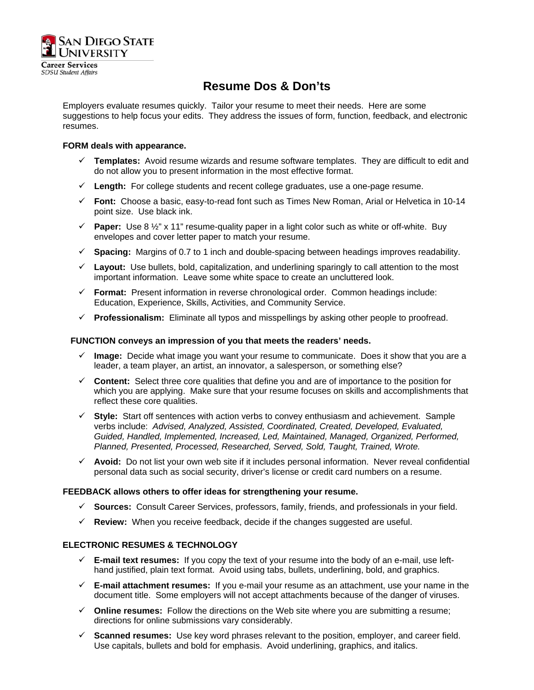

**SDSU** Student Affairs

# **Resume Dos & Don'ts**

Employers evaluate resumes quickly. Tailor your resume to meet their needs. Here are some suggestions to help focus your edits. They address the issues of form, function, feedback, and electronic resumes.

### **FORM deals with appearance.**

- $\checkmark$  Templates: Avoid resume wizards and resume software templates. They are difficult to edit and do not allow you to present information in the most effective format.
- $\checkmark$  Length: For college students and recent college graduates, use a one-page resume.
- 9 **Font:** Choose a basic, easy-to-read font such as Times New Roman, Arial or Helvetica in 10-14 point size. Use black ink.
- **Paper:** Use 8  $\frac{1}{2}$ " x 11" resume-quality paper in a light color such as white or off-white. Buy envelopes and cover letter paper to match your resume.
- 9 **Spacing:** Margins of 0.7 to 1 inch and double-spacing between headings improves readability.
- $\checkmark$  Layout: Use bullets, bold, capitalization, and underlining sparingly to call attention to the most important information. Leave some white space to create an uncluttered look.
- 9 **Format:** Present information in reverse chronological order. Common headings include: Education, Experience, Skills, Activities, and Community Service.
- 9 **Professionalism:** Eliminate all typos and misspellings by asking other people to proofread.

### **FUNCTION conveys an impression of you that meets the readers' needs.**

- 9 **Image:** Decide what image you want your resume to communicate. Does it show that you are a leader, a team player, an artist, an innovator, a salesperson, or something else?
- $\checkmark$  Content: Select three core qualities that define you and are of importance to the position for which you are applying. Make sure that your resume focuses on skills and accomplishments that reflect these core qualities.
- 9 **Style:** Start off sentences with action verbs to convey enthusiasm and achievement. Sample verbs include: *Advised, Analyzed, Assisted, Coordinated, Created, Developed, Evaluated, Guided, Handled, Implemented, Increased, Led, Maintained, Managed, Organized, Performed, Planned, Presented, Processed, Researched, Served, Sold, Taught, Trained, Wrote.*
- $\checkmark$  Avoid: Do not list your own web site if it includes personal information. Never reveal confidential personal data such as social security, driver's license or credit card numbers on a resume.

#### **FEEDBACK allows others to offer ideas for strengthening your resume.**

- 9 **Sources:** Consult Career Services, professors, family, friends, and professionals in your field.
- 9 **Review:** When you receive feedback, decide if the changes suggested are useful.

#### **ELECTRONIC RESUMES & TECHNOLOGY**

- $\checkmark$  **E-mail text resumes:** If you copy the text of your resume into the body of an e-mail, use lefthand justified, plain text format. Avoid using tabs, bullets, underlining, bold, and graphics.
- $\checkmark$  **E-mail attachment resumes:** If you e-mail your resume as an attachment, use your name in the document title. Some employers will not accept attachments because of the danger of viruses.
- $\checkmark$  **Online resumes:** Follow the directions on the Web site where you are submitting a resume; directions for online submissions vary considerably.
- $\checkmark$  **Scanned resumes:** Use key word phrases relevant to the position, employer, and career field. Use capitals, bullets and bold for emphasis. Avoid underlining, graphics, and italics.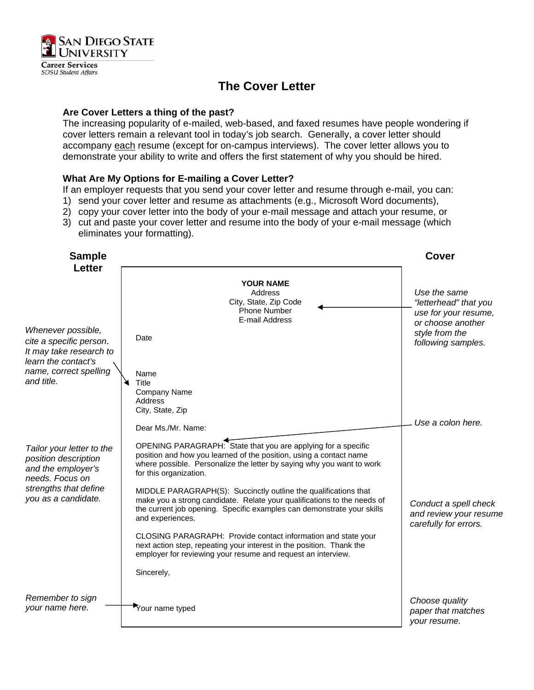

**SDSU Student Affairs** 

# **The Cover Letter**

### **Are Cover Letters a thing of the past?**

The increasing popularity of e-mailed, web-based, and faxed resumes have people wondering if cover letters remain a relevant tool in today's job search. Generally, a cover letter should accompany each resume (except for on-campus interviews). The cover letter allows you to demonstrate your ability to write and offers the first statement of why you should be hired.

### **What Are My Options for E-mailing a Cover Letter?**

If an employer requests that you send your cover letter and resume through e-mail, you can:

- 1) send your cover letter and resume as attachments (e.g., Microsoft Word documents),
- 2) copy your cover letter into the body of your e-mail message and attach your resume, or
- 3) cut and paste your cover letter and resume into the body of your e-mail message (which eliminates your formatting).

| <b>Sample</b>                                                                                                                              |                                                                                                                                                                                                                                          | <b>Cover</b>                                                             |
|--------------------------------------------------------------------------------------------------------------------------------------------|------------------------------------------------------------------------------------------------------------------------------------------------------------------------------------------------------------------------------------------|--------------------------------------------------------------------------|
| <b>Letter</b>                                                                                                                              | <b>YOUR NAME</b><br>Address<br>City, State, Zip Code<br>Phone Number<br>E-mail Address                                                                                                                                                   | Use the same<br>"letterhead" that you<br>use for your resume,            |
| Whenever possible,<br>cite a specific person.<br>It may take research to<br>learn the contact's<br>name, correct spelling<br>and title.    | Date                                                                                                                                                                                                                                     | or choose another<br>style from the<br>following samples.                |
|                                                                                                                                            | Name<br>Title<br>Company Name<br><b>Address</b><br>City, State, Zip                                                                                                                                                                      |                                                                          |
|                                                                                                                                            | Dear Ms./Mr. Name:                                                                                                                                                                                                                       | Use a colon here.                                                        |
| Tailor your letter to the<br>position description<br>and the employer's<br>needs. Focus on<br>strengths that define<br>you as a candidate. | OPENING PARAGRAPH: State that you are applying for a specific<br>position and how you learned of the position, using a contact name<br>where possible. Personalize the letter by saying why you want to work<br>for this organization.   |                                                                          |
|                                                                                                                                            | MIDDLE PARAGRAPH(S): Succinctly outline the qualifications that<br>make you a strong candidate. Relate your qualifications to the needs of<br>the current job opening. Specific examples can demonstrate your skills<br>and experiences. | Conduct a spell check<br>and review your resume<br>carefully for errors. |
|                                                                                                                                            | CLOSING PARAGRAPH: Provide contact information and state your<br>next action step, repeating your interest in the position. Thank the<br>employer for reviewing your resume and request an interview.                                    |                                                                          |
|                                                                                                                                            | Sincerely,                                                                                                                                                                                                                               |                                                                          |
| Remember to sign<br>your name here.                                                                                                        | Your name typed                                                                                                                                                                                                                          | Choose quality<br>paper that matches<br>your resume.                     |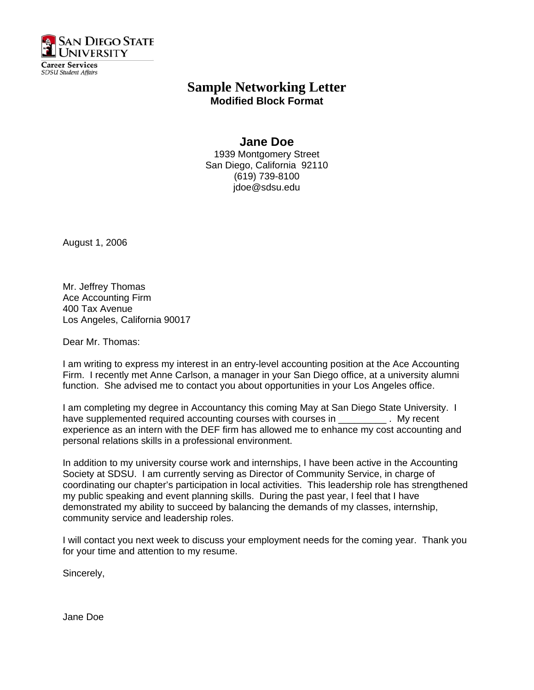

**SDSU** Student Affairs

## **Sample Networking Letter Modified Block Format**

## **Jane Doe**

1939 Montgomery Street San Diego, California 92110 (619) 739-8100 jdoe@sdsu.edu

August 1, 2006

Mr. Jeffrey Thomas Ace Accounting Firm 400 Tax Avenue Los Angeles, California 90017

Dear Mr. Thomas:

I am writing to express my interest in an entry-level accounting position at the Ace Accounting Firm. I recently met Anne Carlson, a manager in your San Diego office, at a university alumni function. She advised me to contact you about opportunities in your Los Angeles office.

I am completing my degree in Accountancy this coming May at San Diego State University. I have supplemented required accounting courses with courses in \_\_\_\_\_\_\_\_\_\_\_. My recent experience as an intern with the DEF firm has allowed me to enhance my cost accounting and personal relations skills in a professional environment.

In addition to my university course work and internships, I have been active in the Accounting Society at SDSU. I am currently serving as Director of Community Service, in charge of coordinating our chapter's participation in local activities. This leadership role has strengthened my public speaking and event planning skills. During the past year, I feel that I have demonstrated my ability to succeed by balancing the demands of my classes, internship, community service and leadership roles.

I will contact you next week to discuss your employment needs for the coming year. Thank you for your time and attention to my resume.

Sincerely,

Jane Doe